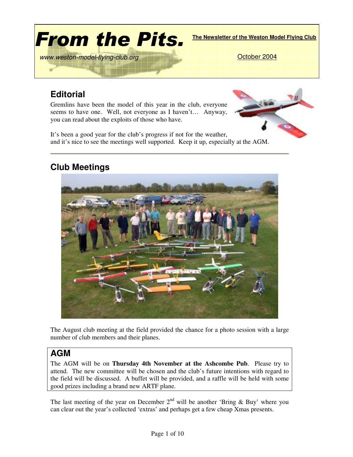

# **Editorial**

Gremlins have been the model of this year in the club, everyone seems to have one. Well, not everyone as I haven't… Anyway, you can read about the exploits of those who have.

It's been a good year for the club's progress if not for the weather, and it's nice to see the meetings well supported. Keep it up, especially at the AGM.

## **Club Meetings**



The August club meeting at the field provided the chance for a photo session with a large number of club members and their planes.

#### **AGM**

The AGM will be on **Thursday 4th November at the Ashcombe Pub**. Please try to attend. The new committee will be chosen and the club's future intentions with regard to the field will be discussed. A buffet will be provided, and a raffle will be held with some good prizes including a brand new ARTF plane.

The last meeting of the year on December  $2<sup>nd</sup>$  will be another 'Bring & Buy' where you can clear out the year's collected 'extras' and perhaps get a few cheap Xmas presents.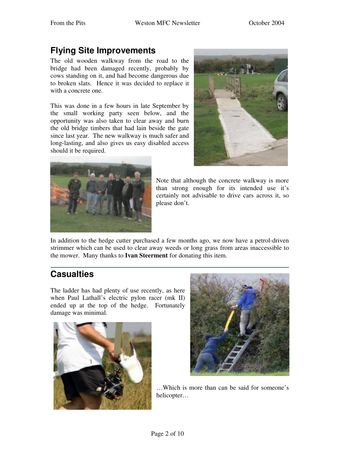## **Flying Site Improvements**

The old wooden walkway from the road to the bridge had been damaged recently, probably by cows standing on it, and had become dangerous due to broken slats. Hence it was decided to replace it with a concrete one.

This was done in a few hours in late September by the small working party seen below, and the opportunity was also taken to clear away and burn the old bridge timbers that had lain beside the gate since last year. The new walkway is much safer and long-lasting, and also gives us easy disabled access should it be required.





Note that although the concrete walkway is more than strong enough for its intended use it's certainly not advisable to drive cars across it, so please don't.

In addition to the hedge cutter purchased a few months ago, we now have a petrol-driven strimmer which can be used to clear away weeds or long grass from areas inaccessible to the mower. Many thanks to **Ivan Steerment** for donating this item.

## **Casualties**

The ladder has had plenty of use recently, as here when Paul Lathall's electric pylon racer (mk II) ended up at the top of the hedge. Fortunately damage was minimal.





…Which is more than can be said for someone's helicopter…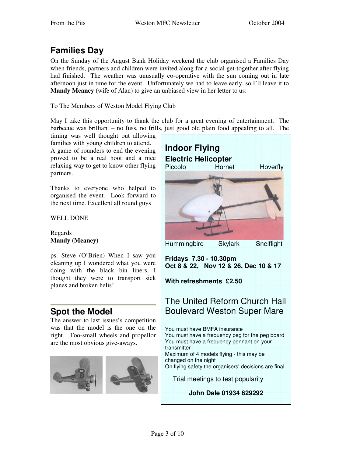# **Families Day**

On the Sunday of the August Bank Holiday weekend the club organised a Families Day when friends, partners and children were invited along for a social get-together after flying had finished. The weather was unusually co-operative with the sun coming out in late afternoon just in time for the event. Unfortunately we had to leave early, so I'll leave it to **Mandy Meaney** (wife of Alan) to give an unbiased view in her letter to us:

To The Members of Weston Model Flying Club

May I take this opportunity to thank the club for a great evening of entertainment. The barbecue was brilliant – no fuss, no frills, just good old plain food appealing to all. The

timing was well thought out allowing families with young children to attend.

A game of rounders to end the evening proved to be a real hoot and a nice relaxing way to get to know other flying partners.

Thanks to everyone who helped to organised the event. Look forward to the next time. Excellent all round guys

WELL DONE

Regards **Mandy (Meaney)**

ps. Steve (O'Brien) When I saw you cleaning up I wondered what you were doing with the black bin liners. I thought they were to transport sick planes and broken helis!

## **Spot the Model**

The answer to last issues's competition was that the model is the one on the right. Too-small wheels and propellor are the most obvious give-aways.



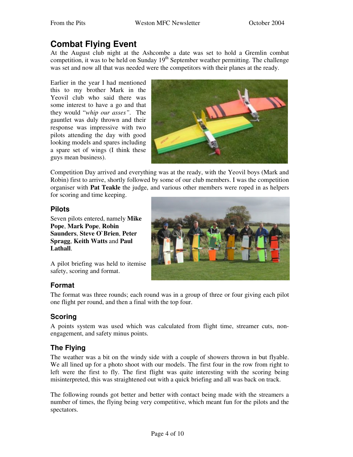### **Combat Flying Event**

At the August club night at the Ashcombe a date was set to hold a Gremlin combat competition, it was to be held on Sunday 19<sup>th</sup> September weather permitting. The challenge was set and now all that was needed were the competitors with their planes at the ready.

Earlier in the year I had mentioned this to my brother Mark in the Yeovil club who said there was some interest to have a go and that they would "*whip our asses"*. The gauntlet was duly thrown and their response was impressive with two pilots attending the day with good looking models and spares including a spare set of wings (I think these guys mean business).



Competition Day arrived and everything was at the ready, with the Yeovil boys (Mark and Robin) first to arrive, shortly followed by some of our club members. I was the competition organiser with **Pat Teakle** the judge, and various other members were roped in as helpers

for scoring and time keeping.

#### **Pilots**

Seven pilots entered, namely **Mike Pope**, **Mark Pope**, **Robin Saunders**, **Steve O`Brien**, **Peter Spragg**, **Keith Watts** and **Paul Lathall**.



A pilot briefing was held to itemise safety, scoring and format.

#### **Format**

The format was three rounds; each round was in a group of three or four giving each pilot one flight per round, and then a final with the top four.

#### **Scoring**

A points system was used which was calculated from flight time, streamer cuts, nonengagement, and safety minus points.

#### **The Flying**

The weather was a bit on the windy side with a couple of showers thrown in but flyable. We all lined up for a photo shoot with our models. The first four in the row from right to left were the first to fly. The first flight was quite interesting with the scoring being misinterpreted, this was straightened out with a quick briefing and all was back on track.

The following rounds got better and better with contact being made with the streamers a number of times, the flying being very competitive, which meant fun for the pilots and the spectators.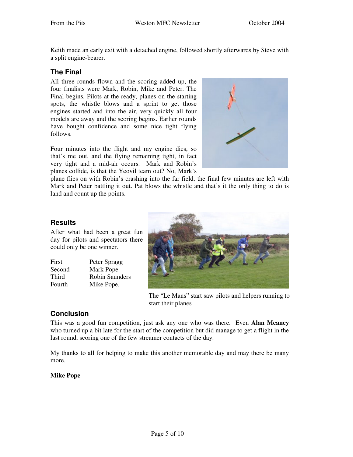Keith made an early exit with a detached engine, followed shortly afterwards by Steve with a split engine-bearer.

#### **The Final**

All three rounds flown and the scoring added up, the four finalists were Mark, Robin, Mike and Peter. The Final begins, Pilots at the ready, planes on the starting spots, the whistle blows and a sprint to get those engines started and into the air, very quickly all four models are away and the scoring begins. Earlier rounds have bought confidence and some nice tight flying follows.

Four minutes into the flight and my engine dies, so that's me out, and the flying remaining tight, in fact very tight and a mid-air occurs. Mark and Robin's planes collide, is that the Yeovil team out? No, Mark's



plane flies on with Robin's crashing into the far field, the final few minutes are left with Mark and Peter battling it out. Pat blows the whistle and that's it the only thing to do is land and count up the points.

#### **Results**

After what had been a great fun day for pilots and spectators there could only be one winner.

| Peter Spragg   |
|----------------|
| Mark Pope      |
| Robin Saunders |
| Mike Pope.     |
|                |



The "Le Mans" start saw pilots and helpers running to start their planes

#### **Conclusion**

This was a good fun competition, just ask any one who was there. Even **Alan Meaney** who turned up a bit late for the start of the competition but did manage to get a flight in the last round, scoring one of the few streamer contacts of the day.

My thanks to all for helping to make this another memorable day and may there be many more.

**Mike Pope**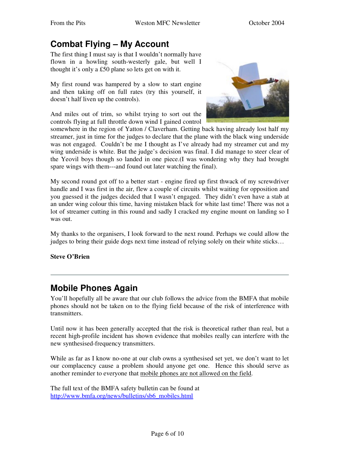## **Combat Flying – My Account**

The first thing I must say is that I wouldn't normally have flown in a howling south-westerly gale, but well I thought it's only a £50 plane so lets get on with it.

My first round was hampered by a slow to start engine and then taking off on full rates (try this yourself, it doesn't half liven up the controls).

And miles out of trim, so whilst trying to sort out the controls flying at full throttle down wind I gained control



somewhere in the region of Yatton / Claverham. Getting back having already lost half my streamer, just in time for the judges to declare that the plane with the black wing underside was not engaged. Couldn't be me I thought as I've already had my streamer cut and my wing underside is white. But the judge's decision was final. I did manage to steer clear of the Yeovil boys though so landed in one piece.(I was wondering why they had brought spare wings with them---and found out later watching the final).

My second round got off to a better start - engine fired up first thwack of my screwdriver handle and I was first in the air, flew a couple of circuits whilst waiting for opposition and you guessed it the judges decided that I wasn't engaged. They didn't even have a stab at an under wing colour this time, having mistaken black for white last time! There was not a lot of streamer cutting in this round and sadly I cracked my engine mount on landing so I was out.

My thanks to the organisers, I look forward to the next round. Perhaps we could allow the judges to bring their guide dogs next time instead of relying solely on their white sticks…

#### **Steve O'Brien**

### **Mobile Phones Again**

You'll hopefully all be aware that our club follows the advice from the BMFA that mobile phones should not be taken on to the flying field because of the risk of interference with transmitters.

Until now it has been generally accepted that the risk is theoretical rather than real, but a recent high-profile incident has shown evidence that mobiles really can interfere with the new synthesised-frequency transmitters.

While as far as I know no-one at our club owns a synthesised set yet, we don't want to let our complacency cause a problem should anyone get one. Hence this should serve as another reminder to everyone that mobile phones are not allowed on the field.

The full text of the BMFA safety bulletin can be found at http://www.bmfa.org/news/bulletins/sb6\_mobiles.html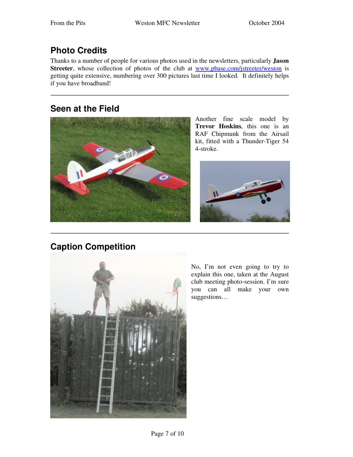# **Photo Credits**

Thanks to a number of people for various photos used in the newsletters, particularly **Jason** Streeter, whose collection of photos of the club at www.pbase.com/jstreeter/weston is getting quite extensive, numbering over 300 pictures last time I looked. It definitely helps if you have broadband!

### **Seen at the Field**



Another fine scale model by **Trevor Hoskins**, this one is an RAF Chipmunk from the Airsail kit, fitted with a Thunder-Tiger 54 4-stroke.



## **Caption Competition**



No, I'm not even going to try to explain this one, taken at the August club meeting photo-session. I'm sure you can all make your own suggestions…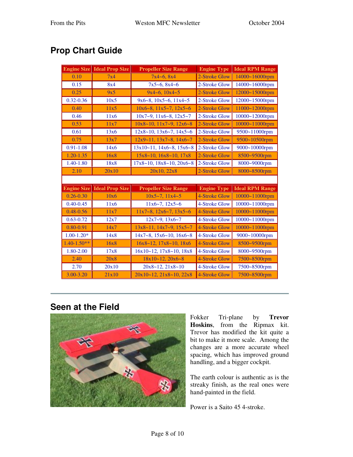# **Prop Chart Guide**

| <b>Engine Size</b> | <b>Ideal Prop Size</b> | <b>Propeller Size Range</b>            | <b>Engine Type</b> | <b>Ideal RPM Range</b> |
|--------------------|------------------------|----------------------------------------|--------------------|------------------------|
| 0.10               | 7x4                    | $7x4 - 6, 8x4$                         | 2-Stroke Glow      | 14000~16000rpm         |
| 0.15               | 8x4                    | $7x5 - 6, 8x4 - 6$                     | 2-Stroke Glow      | 14000~16000rpm         |
| 0.25               | 9x5                    | $9x4 - 6$ , $10x4 - 5$                 | 2-Stroke Glow      | 12000~15000rpm         |
| $0.32 - 0.36$      | 10x5                   | $9x6 - 8$ , $10x5 - 6$ , $11x4 - 5$    | 2-Stroke Glow      | 12000~15000rpm         |
| 0.40               | 11x5                   | $10x6 - 8$ , $11x5 - 7$ , $12x5 - 6$   | 2-Stroke Glow      | 11000~12000rpm         |
| 0.46               | 11x6                   | $10x7-9$ , $11x6-8$ , $12x5-7$         | 2-Stroke Glow      | 10000~12000rpm         |
| 0.53               | 11x7                   | $10x8 - 10$ , $11x7 - 9$ , $12x6 - 8$  | 2-Stroke Glow      | 10000~11000rpm         |
| 0.61               | 13x6                   | $12x8 - 10$ , $13x6 - 7$ , $14x5 - 6$  | 2-Stroke Glow      | 9500~11000rpm          |
| 0.75               | 13x7                   | $12x9 - 11$ , $13x7 - 8$ , $14x6 - 7$  | 2-Stroke Glow      | 9500~10500rpm          |
| $0.91 - 1.08$      | 14x6                   | $13x10-11$ , $14x6-8$ , $15x6-8$       | 2-Stroke Glow      | 9000~10000rpm          |
| $1.20 - 1.35$      | 16x8                   | $15x8 - 10$ , $16x8 - 10$ , $17x8$     | 2-Stroke Glow      | 8500~9500rpm           |
| $1.40 - 1.80$      | 18x8                   | $17x8 - 10$ , $18x8 - 10$ , $20x6 - 8$ | 2-Stroke Glow      | 8000~9000rpm           |
| 2.10               | 20x10                  | 20x10, 22x8                            | 2-Stroke Glow      | 8000~8500rpm           |
|                    |                        |                                        |                    |                        |
| <b>Engine Size</b> | <b>Ideal Prop Size</b> | <b>Propeller Size Range</b>            | <b>Engine Type</b> | <b>Ideal RPM Range</b> |
| $0.26 - 0.30$      | 10x6                   | $10x5 - 7$ , $11x4 - 5$                | 4-Stroke Glow      | 10000~11000rpm         |
| $0.40 - 0.45$      | 11x6                   | $11x6 - 7$ , $12x5 - 6$                | 4-Stroke Glow      | 10000~11000rpm         |
| $0.48 - 0.56$      | 11x7                   | $11x7-8$ , $12x6-7$ , $13x5-6$         | 4-Stroke Glow      | 10000~11000rpm         |
| $0.63 - 0.72$      | 12x7                   | $12x7 - 9$ , $13x6 - 7$                | 4-Stroke Glow      | 10000~11000rpm         |
| $0.80 - 0.91$      | 14x7                   | $13x8 - 11$ , $14x7 - 9$ , $15x5 - 7$  | 4-Stroke Glow      | 10000~11000rpm         |
| $1.00 - 1.20*$     | 14x8                   | $14x7 - 8$ , $15x6 - 10$ , $16x6 - 8$  | 4-Stroke Glow      | 9000~10000rpm          |
| $1.40 - 1.50**$    | 16x8                   | $16x8 - 12$ , $17x8 - 10$ , $18x6$     | 4-Stroke Glow      | 8500~9500rpm           |
| 1.80-2.00          | 17x8                   | $16x10-12$ , $17x8-10$ , $18x8$        | 4-Stroke Glow      | 8000~9500rpm           |
| 2.40               | 20x8                   | $18x10 - 12$ , $20x6 - 8$              | 4-Stroke Glow      | 7500~8500rpm           |
| 2.70               | 20x10                  | $20x8 - 12, 21x8 - 10$                 | 4-Stroke Glow      | 7500~8500rpm           |
| $3.00 - 3.20$      | 21x10                  | $20x10 - 12, 21x8 - 10, 22x8$          | 4-Stroke Glow      | 7500~8500rpm           |

#### **Seen at the Field**



Fokker Tri-plane by **Trevor Hoskins**, from the Ripmax kit. Trevor has modified the kit quite a bit to make it more scale. Among the changes are a more accurate wheel spacing, which has improved ground handling, and a bigger cockpit.

The earth colour is authentic as is the streaky finish, as the real ones were hand-painted in the field.

Power is a Saito 45 4-stroke.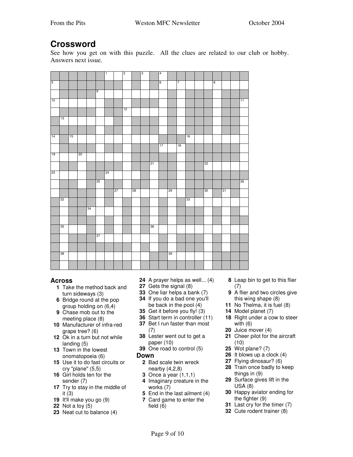### **Crossword**

See how you get on with this puzzle. All the clues are related to our club or hobby. Answers next issue.

|                 |                 |                 |                 |                 |                 | $\overline{1}$  |                 | $\overline{2}$  |                 | $\overline{3}$ |                 | $\overline{4}$  |                 |                 |                 |                 |                         |    |                 |
|-----------------|-----------------|-----------------|-----------------|-----------------|-----------------|-----------------|-----------------|-----------------|-----------------|----------------|-----------------|-----------------|-----------------|-----------------|-----------------|-----------------|-------------------------|----|-----------------|
| $\overline{5}$  |                 |                 |                 |                 |                 |                 |                 |                 |                 |                |                 | $\overline{6}$  |                 | $\overline{7}$  |                 |                 | $\overline{\mathbf{8}}$ |    |                 |
|                 |                 |                 |                 |                 | $\overline{9}$  |                 |                 |                 |                 |                |                 |                 |                 |                 |                 |                 |                         |    |                 |
| 10              |                 |                 |                 |                 |                 |                 |                 |                 |                 |                |                 |                 |                 |                 |                 |                 |                         |    | $\overline{11}$ |
|                 |                 |                 |                 |                 |                 |                 |                 | $\overline{12}$ |                 |                |                 |                 |                 |                 |                 |                 |                         |    |                 |
|                 | $\overline{13}$ |                 |                 |                 |                 |                 |                 |                 |                 |                |                 |                 |                 |                 |                 |                 |                         |    |                 |
|                 |                 |                 |                 |                 |                 |                 |                 |                 |                 |                |                 |                 |                 |                 |                 |                 |                         |    |                 |
| $\overline{14}$ |                 | $\overline{15}$ |                 |                 |                 |                 |                 |                 |                 |                |                 |                 |                 |                 | $\overline{16}$ |                 |                         |    |                 |
|                 |                 |                 |                 |                 |                 |                 |                 |                 |                 |                |                 | $\overline{17}$ |                 | $\overline{18}$ |                 |                 |                         |    |                 |
|                 |                 |                 |                 |                 |                 |                 |                 |                 |                 |                |                 |                 |                 |                 |                 |                 |                         |    |                 |
| $\overline{19}$ |                 |                 | $\overline{20}$ |                 |                 |                 |                 |                 |                 |                |                 |                 |                 |                 |                 |                 |                         |    |                 |
|                 |                 |                 |                 |                 |                 |                 |                 |                 |                 |                | $\overline{21}$ |                 |                 |                 |                 | $\overline{22}$ |                         |    |                 |
| $\overline{23}$ |                 |                 |                 |                 |                 | $\overline{24}$ |                 |                 |                 |                |                 |                 |                 |                 |                 |                 |                         |    |                 |
|                 |                 |                 |                 |                 | $\overline{25}$ |                 |                 |                 |                 |                |                 |                 |                 |                 |                 |                 |                         |    | $\overline{26}$ |
|                 |                 |                 |                 |                 |                 |                 | $\overline{27}$ |                 | $\overline{28}$ |                |                 |                 | $\overline{29}$ |                 |                 | $\overline{30}$ |                         | 31 |                 |
|                 | $\overline{32}$ |                 |                 |                 |                 |                 |                 |                 |                 |                |                 |                 |                 |                 | $\overline{33}$ |                 |                         |    |                 |
|                 |                 |                 |                 | $\overline{34}$ |                 |                 |                 |                 |                 |                |                 |                 |                 |                 |                 |                 |                         |    |                 |
|                 |                 |                 |                 |                 |                 |                 |                 |                 |                 |                |                 |                 |                 |                 |                 |                 |                         |    |                 |
|                 | $\overline{35}$ |                 |                 |                 |                 |                 |                 |                 |                 |                | $\overline{36}$ |                 |                 |                 |                 |                 |                         |    |                 |
|                 |                 |                 |                 |                 |                 |                 |                 |                 |                 |                |                 |                 |                 |                 |                 |                 |                         |    |                 |
|                 |                 |                 |                 |                 | 37              |                 |                 |                 |                 |                |                 |                 |                 |                 |                 |                 |                         |    |                 |
|                 |                 |                 |                 |                 |                 |                 |                 |                 |                 |                |                 |                 |                 |                 |                 |                 |                         |    |                 |
|                 | $\overline{38}$ |                 |                 |                 |                 |                 |                 |                 |                 |                |                 |                 | 39              |                 |                 |                 |                         |    |                 |
|                 |                 |                 |                 |                 |                 |                 |                 |                 |                 |                |                 |                 |                 |                 |                 |                 |                         |    |                 |

#### **Across**

- Take the method back and turn sideways (3)
- Bridge round at the pop group holding on (6,4) Chase mob out to the
- meeting place (8) Manufacturer of infra-red
- grape tree? (6)
- Ok in a turn but not while landing (5)
- Town in the lowest onomatopoeia (6)
- Use it to do fast circuits or cry "plane" (5,5)
- Girl holds ten for the sender (7)
- Try to stay in the middle of it (3)
- It'll make you go (9)
- Not a toy (5)
- Neat cut to balance (4)
- A prayer helps as well... (4)
- Gets the signal (8)
- One liar helps a bank (7) If you do a bad one you'll be back in the pool (4)
- Get it before you fly! (3)
- Start term in controller (11)
- Bet I run faster than most (7)
- Lester went out to get a paper (10)
- One road to control (5)

#### **Down**

- Bad scale twin wreck nearby (4,2,8)
- Once a year (1,1,1)
- Imaginary creature in the works (7)
- End in the last ailment (4)
- Card game to enter the field (6)
- Leap bin to get to this flier (7)
- A flier and two circles give this wing shape (8)
- No Thelma, it is fuel (8)
- Model planet (7)
- Right under a cow to steer with (6)
- Juice mover (4)
- Cheer pilot for the aircraft (10)
- Wot plane? (7)
- It blows up a clock (4)
- Flying dinosaur? (6)
- Train once badly to keep things in (9)
- Surface gives lift in the USA (8)
- Happy aviator ending for the fighter (9)
- Last cry for the timer (7)
- Cute rodent trainer (8)